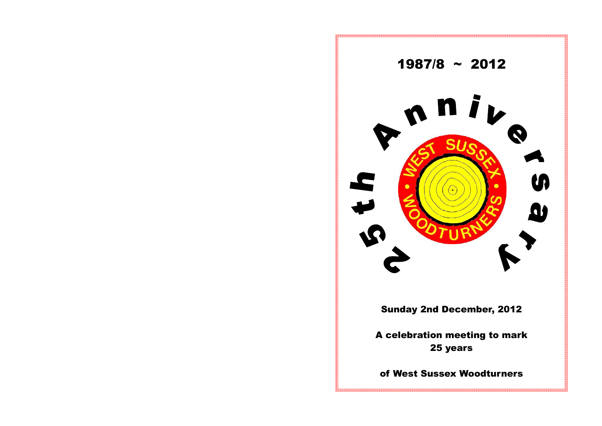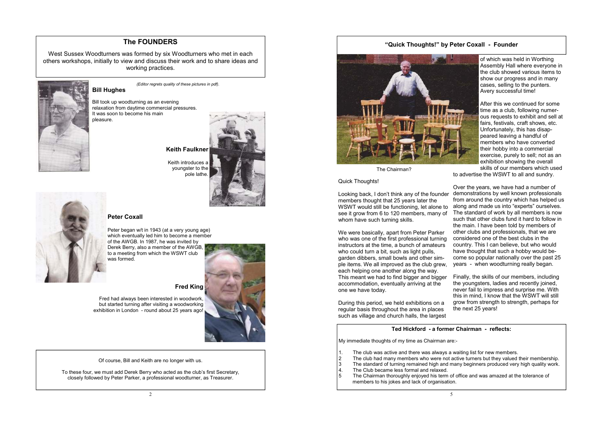*(Editor regrets quality of these pictures in pdf).* 

**Bill Hughes** 

 Keith introduces a youngster to the pole lathe.





Bill took up woodturning as an evening relaxation from daytime commercial pressures. It was soon to become his main pleasure.

**Keith Faulkner** 

### **Peter Coxall**

Peter began w/t in 1943 (at a very young age) which eventually led him to become a member of the AWGB. In 1987, he was invited by Derek Berry, also a member of the AWGB, to a meeting from which the WSWT club was formed.



**Fred King** 

Fred had always been interested in woodwork, but started turning after visiting a woodworking exhibition in London - round about 25 years ago!

## **The FOUNDERS**

West Sussex Woodturners was formed by six Woodturners who met in each others workshops, initially to view and discuss their work and to share ideas and working practices.



Of course, Bill and Keith are no longer with us.

To these four, we must add Derek Berry who acted as the club's first Secretary, closely followed by Peter Parker, a professional woodturner, as Treasurer.

**"Quick Thoughts!" by Peter Coxall - Founder** 



The Chairman?

Quick Thoughts!

We were basically, apart from Peter Parker who was one of the first professional turning instructors at the time, a bunch of amateurs who could turn a bit, such as light pulls, garden dibbers, small bowls and other simple items. We all improved as the club grew, each helping one another along the way. This meant we had to find bigger and bigger accommodation, eventually arriving at the one we have today.

2 The club had many members who were not active turners but they valued their membership. 3 The standard of turning remained high and many beginners produced very high quality work.

During this period, we held exhibitions on a regular basis throughout the area in places such as village and church halls, the largest

- $\vert$  1. The club was active and there was always a waiting list for new members.
- 
- 
- 4. The Club became less formal and relaxed.
- members to his jokes and lack of organisation.

of which was held in Worthing Assembly Hall where everyone in the club showed various items to show our progress and in many cases, selling to the punters. Avery successful time!

Looking back, I don't think any of the founder members thought that 25 years later the WSWT would still be functioning, let alone to see it grow from 6 to 120 members, many of whom have such turning skills. Over the years, we have had a number of demonstrations by well known professionals from around the country which has helped us along and made us into "experts" ourselves. The standard of work by all members is now such that other clubs fund it hard to follow in the main. I have been told by members of other clubs and professionals, that we are considered one of the best clubs in the country. This I can believe, but who would have thought that such a hobby would become so popular nationally over the past 25 years - when woodturning really began.

After this we continued for some time as a club, following numerous requests to exhibit and sell at fairs, festivals, craft shows, etc. Unfortunately, this has disappeared leaving a handful of members who have converted their hobby into a commercial exercise, purely to sell; not as an exhibition showing the overall skills of our members which used

to advertise the WSWT to all and sundry.

Finally, the skills of our members, including the youngsters, ladies and recently joined, never fail to impress and surprise me. With this in mind, I know that the WSWT will still grow from strength to strength, perhaps for the next 25 years!

#### **Ted Hickford - a former Chairman - reflects:**

My immediate thoughts of my time as Chairman are:-

5 The Chairman thoroughly enjoyed his term of office and was amazed at the tolerance of